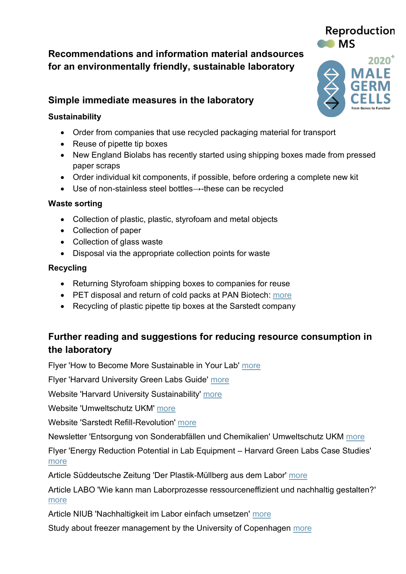# **Recommendations and information material andsources for an environmentally friendly, sustainable laboratory**

# **Simple immediate measures in the laboratory**

### **Sustainability**

- Order from companies that use recycled packaging material for transport
- Reuse of pipette tip boxes
- New England Biolabs has recently started using shipping boxes made from pressed paper scraps
- Order individual kit components, if possible, before ordering a complete new kit
- Use of non-stainless steel bottles→-these can be recycled

#### **Waste sorting**

- Collection of plastic, plastic, styrofoam and metal objects
- Collection of paper
- Collection of glass waste
- Disposal via the appropriate collection points for waste

### **Recycling**

- Returning Styrofoam shipping boxes to companies for reuse
- PET disposal and return of cold packs at PAN Biotech: [more](https://www.pan-biotech.de/Nachhaltigkeit/)
- Recycling of plastic pipette tip boxes at the Sarstedt company

# **Further reading and suggestions for reducing resource consumption in the laboratory**

Flyer 'How to Become More Sustainable in Your Lab' [more](https://www.eppendorf.com/uploads/media/Poster_epT.I.P.S_How-to-Become-More-S_eng_01.pdf)

Flyer 'Harvard University Green Labs Guide' [more](https://green.harvard.edu/sites/green.harvard.edu/files/GreenLabsGuide.pdf)

Website 'Harvard University Sustainability' [more](https://green.harvard.edu/programs/green-labs)

Website 'Umweltschutz UKM' [more](https://ukmintranet.ukmuenster.de/uws-uebersicht)

Website 'Sarstedt Refill-Revolution' [more](https://refillrevolution.sarstedt.com/)

Newsletter 'Entsorgung von Sonderabfällen und Chemikalien' Umweltschutz UKM [more](https://ukmintranet.ukmuenster.de/service-von-a-z/organisation/abfallwirtschaft/newsletter-umweltschutz/newsletter-4/2021-entsorgung-von-sonderabfaellen-und-chemikalien)

Flyer 'Energy Reduction Potential in Lab Equipment – Harvard Green Labs Case Studies' [more](https://green.harvard.edu/sites/green.harvard.edu/files/EnergyReductionPotential_KirschnerCaseStudy.pptx%20%28Read-Only%29.pdf)

Article Süddeutsche Zeitung 'Der Plastik-Müllberg aus dem Labor' [more](https://www.sueddeutsche.de/wissen/plastik-muell-wissenschaft-labor-1.4742702)

Article LABO 'Wie kann man Laborprozesse ressourceneffizient und nachhaltig gestalten?' [more](https://www.labo.de/qualitaets-tipp/laborprozesse-ressourceneffizient-und-nachhaltig-gestalten.htm)

Article NIUB 'Nachhaltigkeit im Labor einfach umsetzen' [more](https://bit.ly/3JPL7uy)

Study about freezer management by the University of Copenhagen [more](https://baeredygtighed2030.ku.dk/pdf/freezer_test.pdf/)



Reproduction